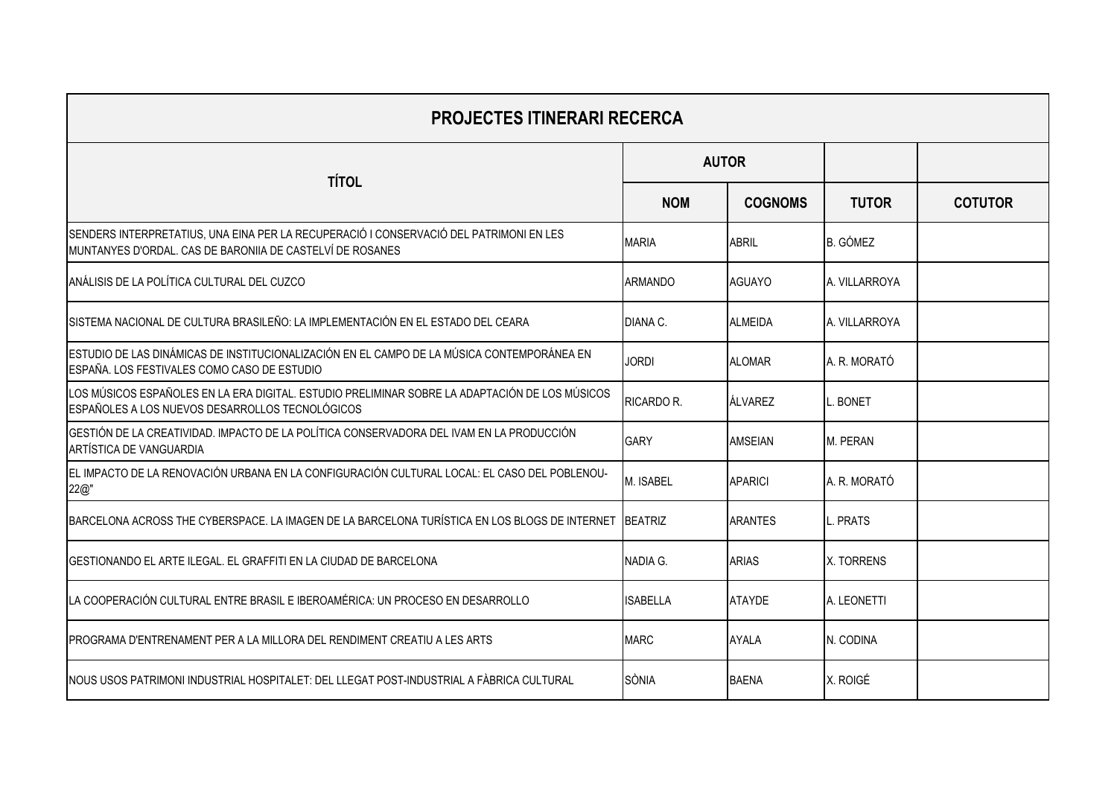| <b>PROJECTES ITINERARI RECERCA</b>                                                                                                                  |                 |                |                 |                |
|-----------------------------------------------------------------------------------------------------------------------------------------------------|-----------------|----------------|-----------------|----------------|
| <b>TÍTOL</b>                                                                                                                                        | <b>AUTOR</b>    |                |                 |                |
|                                                                                                                                                     | <b>NOM</b>      | <b>COGNOMS</b> | <b>TUTOR</b>    | <b>COTUTOR</b> |
| SENDERS INTERPRETATIUS, UNA EINA PER LA RECUPERACIÓ I CONSERVACIÓ DEL PATRIMONI EN LES<br>MUNTANYES D'ORDAL. CAS DE BARONIIA DE CASTELVÍ DE ROSANES | <b>MARIA</b>    | <b>ABRIL</b>   | <b>B.</b> GÓMEZ |                |
| ANÁLISIS DE LA POLÍTICA CULTURAL DEL CUZCO                                                                                                          | <b>ARMANDO</b>  | <b>AGUAYO</b>  | A. VILLARROYA   |                |
| SISTEMA NACIONAL DE CULTURA BRASILEÑO: LA IMPLEMENTACIÓN EN EL ESTADO DEL CEARA                                                                     | DIANA C.        | <b>ALMEIDA</b> | A. VILLARROYA   |                |
| ESTUDIO DE LAS DINÁMICAS DE INSTITUCIONALIZACIÓN EN EL CAMPO DE LA MÚSICA CONTEMPORÁNEA EN<br>ESPAÑA. LOS FESTIVALES COMO CASO DE ESTUDIO           | <b>JORDI</b>    | <b>ALOMAR</b>  | A. R. MORATÓ    |                |
| LOS MÚSICOS ESPAÑOLES EN LA ERA DIGITAL. ESTUDIO PRELIMINAR SOBRE LA ADAPTACIÓN DE LOS MÚSICOS<br>ESPAÑOLES A LOS NUEVOS DESARROLLOS TECNOLÓGICOS   | RICARDO R.      | <b>ÁLVAREZ</b> | <b>BONET</b>    |                |
| GESTIÓN DE LA CREATIVIDAD. IMPACTO DE LA POLÍTICA CONSERVADORA DEL IVAM EN LA PRODUCCIÓN<br>ARTÍSTICA DE VANGUARDIA                                 | <b>GARY</b>     | AMSEIAN        | M. PERAN        |                |
| EL IMPACTO DE LA RENOVACIÓN URBANA EN LA CONFIGURACIÓN CULTURAL LOCAL: EL CASO DEL POBLENOU-<br>22@"                                                | M. ISABEL       | <b>APARICI</b> | A. R. MORATÓ    |                |
| BARCELONA ACROSS THE CYBERSPACE. LA IMAGEN DE LA BARCELONA TURÍSTICA EN LOS BLOGS DE INTERNET                                                       | <b>BEATRIZ</b>  | <b>ARANTES</b> | PRATS           |                |
| GESTIONANDO EL ARTE ILEGAL. EL GRAFFITI EN LA CIUDAD DE BARCELONA                                                                                   | NADIA G.        | <b>ARIAS</b>   | X. TORRENS      |                |
| LA COOPERACIÓN CULTURAL ENTRE BRASIL E IBEROAMÉRICA: UN PROCESO EN DESARROLLO                                                                       | <b>ISABELLA</b> | <b>ATAYDE</b>  | A. LEONETTI     |                |
| IPROGRAMA D'ENTRENAMENT PER A LA MILLORA DEL RENDIMENT CREATIU A LES ARTS                                                                           | <b>MARC</b>     | <b>AYALA</b>   | N. CODINA       |                |
| INOUS USOS PATRIMONI INDUSTRIAL HOSPITALET: DEL LLEGAT POST-INDUSTRIAL A FÀBRICA CULTURAL                                                           | SÒNIA           | <b>BAENA</b>   | X. ROIGÉ        |                |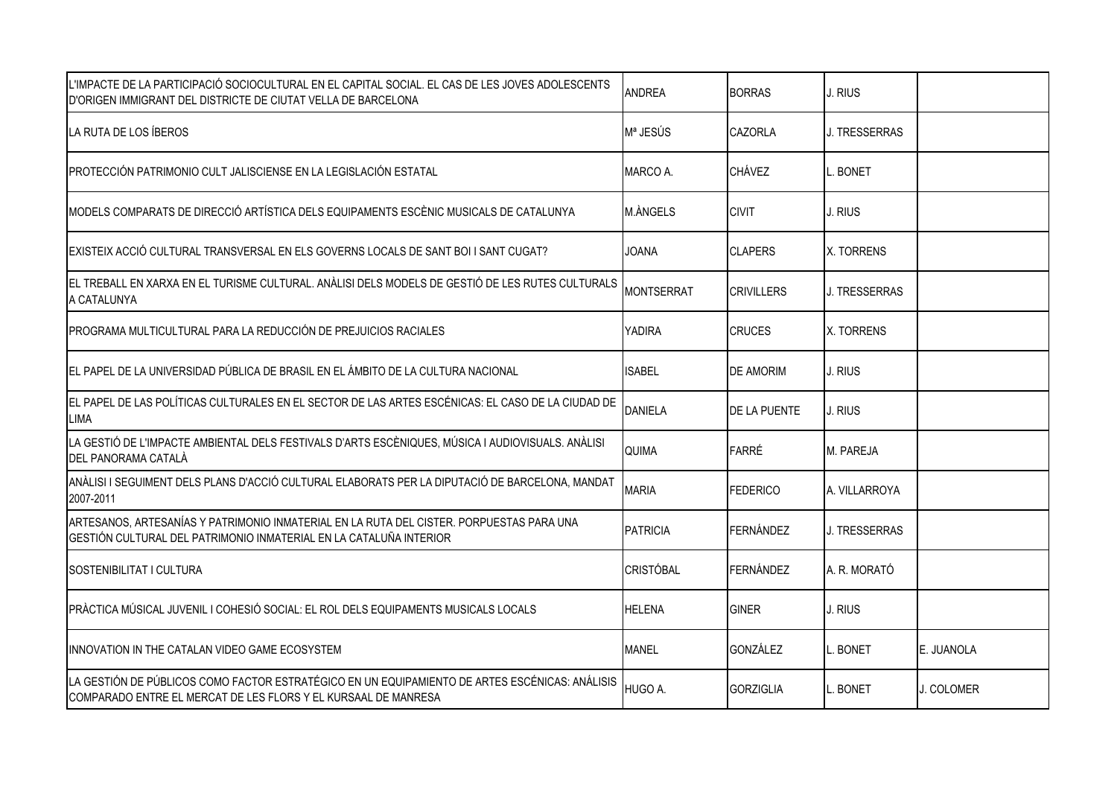| L'IMPACTE DE LA PARTICIPACIÓ SOCIOCULTURAL EN EL CAPITAL SOCIAL. EL CAS DE LES JOVES ADOLESCENTS<br>D'ORIGEN IMMIGRANT DEL DISTRICTE DE CIUTAT VELLA DE BARCELONA | <b>ANDREA</b>     | <b>BORRAS</b>       | J. RIUS              |            |
|-------------------------------------------------------------------------------------------------------------------------------------------------------------------|-------------------|---------------------|----------------------|------------|
| LA RUTA DE LOS ÍBEROS                                                                                                                                             | Mª JESÚS          | <b>CAZORLA</b>      | J. TRESSERRAS        |            |
| PROTECCIÓN PATRIMONIO CULT JALISCIENSE EN LA LEGISLACIÓN ESTATAL                                                                                                  | MARCO A.          | <b>CHÁVEZ</b>       | BONET                |            |
| MODELS COMPARATS DE DIRECCIÓ ARTÍSTICA DELS EQUIPAMENTS ESCÈNIC MUSICALS DE CATALUNYA                                                                             | M.ANGELS          | <b>CIVIT</b>        | J. RIUS              |            |
| EXISTEIX ACCIÓ CULTURAL TRANSVERSAL EN ELS GOVERNS LOCALS DE SANT BOI I SANT CUGAT?                                                                               | <b>JOANA</b>      | <b>CLAPERS</b>      | X. TORRENS           |            |
| EL TREBALL EN XARXA EN EL TURISME CULTURAL. ANÀLISI DELS MODELS DE GESTIÓ DE LES RUTES CULTURALS<br>A CATALUNYA                                                   | <b>MONTSERRAT</b> | <b>CRIVILLERS</b>   | J. TRESSERRAS        |            |
| PROGRAMA MULTICULTURAL PARA LA REDUCCIÓN DE PREJUICIOS RACIALES                                                                                                   | YADIRA            | <b>CRUCES</b>       | X. TORRENS           |            |
| EL PAPEL DE LA UNIVERSIDAD PÚBLICA DE BRASIL EN EL ÁMBITO DE LA CULTURA NACIONAL                                                                                  | <b>ISABEL</b>     | <b>DE AMORIM</b>    | J. RIUS              |            |
| EL PAPEL DE LAS POLÍTICAS CULTURALES EN EL SECTOR DE LAS ARTES ESCÉNICAS: EL CASO DE LA CIUDAD DE<br>LIMA                                                         | <b>DANIELA</b>    | <b>DE LA PUENTE</b> | J. RIUS              |            |
| LA GESTIÓ DE L'IMPACTE AMBIENTAL DELS FESTIVALS D'ARTS ESCÈNIQUES, MÚSICA I AUDIOVISUALS. ANÀLISI<br>DEL PANORAMA CATALÀ                                          | QUIMA             | <b>FARRÉ</b>        | M. PAREJA            |            |
| ANÀLISI I SEGUIMENT DELS PLANS D'ACCIÓ CULTURAL ELABORATS PER LA DIPUTACIÓ DE BARCELONA, MANDAT<br>2007-2011                                                      | <b>MARIA</b>      | FEDERICO            | A. VILLARROYA        |            |
| ARTESANOS, ARTESANÍAS Y PATRIMONIO INMATERIAL EN LA RUTA DEL CISTER. PORPUESTAS PARA UNA<br>GESTIÓN CULTURAL DEL PATRIMONIO INMATERIAL EN LA CATALUÑA INTERIOR    | <b>PATRICIA</b>   | FERNÁNDEZ           | <b>J. TRESSERRAS</b> |            |
| SOSTENIBILITAT I CULTURA                                                                                                                                          | <b>CRISTÓBAL</b>  | <b>FERNÁNDEZ</b>    | A. R. MORATÓ         |            |
| PRÀCTICA MÚSICAL JUVENIL I COHESIÓ SOCIAL: EL ROL DELS EQUIPAMENTS MUSICALS LOCALS                                                                                | <b>HELENA</b>     | <b>GINER</b>        | J. RIUS              |            |
| INNOVATION IN THE CATALAN VIDEO GAME ECOSYSTEM                                                                                                                    | <b>MANEL</b>      | <b>GONZÁLEZ</b>     | <b>BONET</b>         | E. JUANOLA |
| LA GESTIÓN DE PÚBLICOS COMO FACTOR ESTRATÉGICO EN UN EQUIPAMIENTO DE ARTES ESCÉNICAS: ANÁLISIS<br>COMPARADO ENTRE EL MERCAT DE LES FLORS Y EL KURSAAL DE MANRESA  | HUGO A.           | <b>GORZIGLIA</b>    | <b>BONET</b>         | J. COLOMER |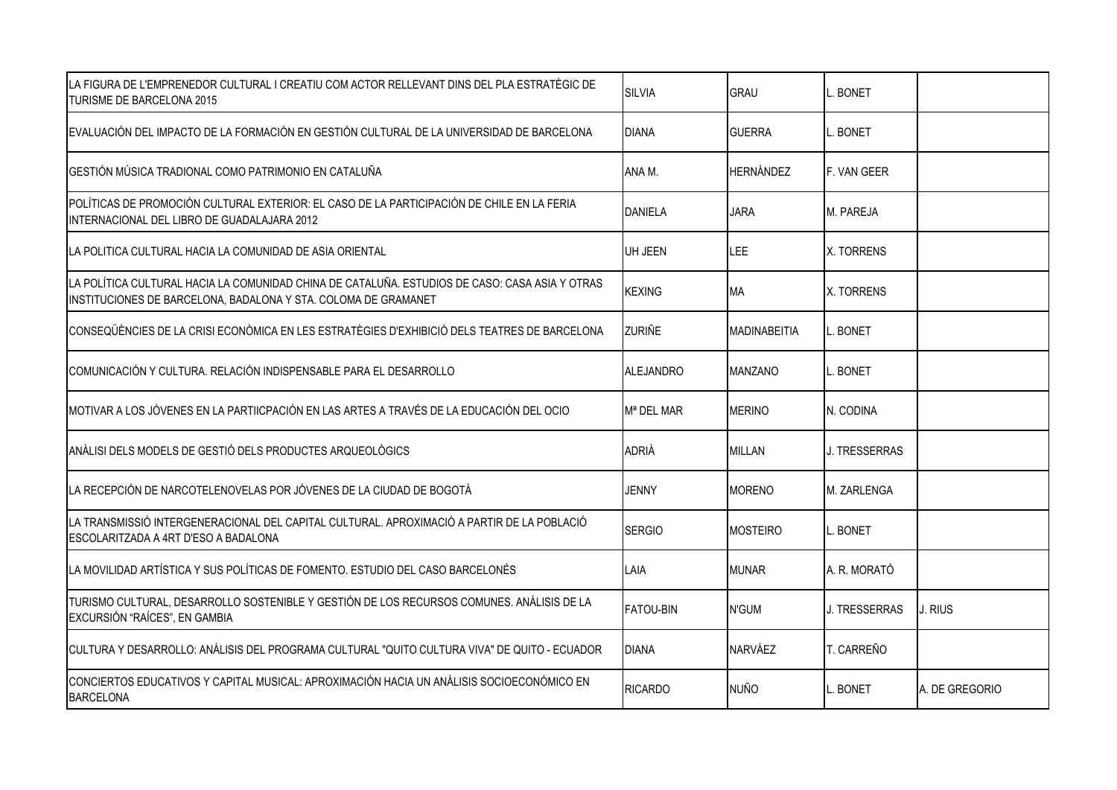| LA FIGURA DE L'EMPRENEDOR CULTURAL I CREATIU COM ACTOR RELLEVANT DINS DEL PLA ESTRATÈGIC DE<br>TURISME DE BARCELONA 2015                                         | <b>SILVIA</b>          | <b>GRAU</b>         | <b>BONET</b>  |                |
|------------------------------------------------------------------------------------------------------------------------------------------------------------------|------------------------|---------------------|---------------|----------------|
| EVALUACIÓN DEL IMPACTO DE LA FORMACIÓN EN GESTIÓN CULTURAL DE LA UNIVERSIDAD DE BARCELONA                                                                        | <b>DIANA</b>           | <b>GUERRA</b>       | . BONET       |                |
| GESTIÓN MÚSICA TRADIONAL COMO PATRIMONIO EN CATALUÑA                                                                                                             | ANA M.                 | <b>HERNÁNDEZ</b>    | F. VAN GEER   |                |
| POLÍTICAS DE PROMOCIÓN CULTURAL EXTERIOR: EL CASO DE LA PARTICIPACIÓN DE CHILE EN LA FERIA<br>INTERNACIONAL DEL LIBRO DE GUADALAJARA 2012                        | <b>DANIELA</b>         | <b>JARA</b>         | M. PAREJA     |                |
| LA POLITICA CULTURAL HACIA LA COMUNIDAD DE ASIA ORIENTAL                                                                                                         | UH JEEN                | <b>LEE</b>          | X. TORRENS    |                |
| LA POLÍTICA CULTURAL HACIA LA COMUNIDAD CHINA DE CATALUÑA. ESTUDIOS DE CASO: CASA ASIA Y OTRAS<br>INSTITUCIONES DE BARCELONA, BADALONA Y STA. COLOMA DE GRAMANET | <b>KEXING</b>          | MA                  | X. TORRENS    |                |
| CONSEQÜÈNCIES DE LA CRISI ECONÒMICA EN LES ESTRATÈGIES D'EXHIBICIÓ DELS TEATRES DE BARCELONA                                                                     | <b>ZURIÑE</b>          | <b>MADINABEITIA</b> | <b>BONET</b>  |                |
| COMUNICACIÓN Y CULTURA. RELACIÓN INDISPENSABLE PARA EL DESARROLLO                                                                                                | <b>ALEJANDRO</b>       | <b>MANZANO</b>      | . BONET       |                |
| MOTIVAR A LOS JÓVENES EN LA PARTIICPACIÓN EN LAS ARTES A TRAVÉS DE LA EDUCACIÓN DEL OCIO                                                                         | M <sup>a</sup> DEL MAR | <b>MERINO</b>       | N. CODINA     |                |
| ANÀLISI DELS MODELS DE GESTIÓ DELS PRODUCTES ARQUEOLÒGICS                                                                                                        | <b>ADRIÀ</b>           | MILLAN              | J. TRESSERRAS |                |
| LA RECEPCIÓN DE NARCOTELENOVELAS POR JÓVENES DE LA CIUDAD DE BOGOTÁ                                                                                              | <b>JENNY</b>           | <b>MORENO</b>       | M. ZARLENGA   |                |
| LA TRANSMISSIÓ INTERGENERACIONAL DEL CAPITAL CULTURAL. APROXIMACIÓ A PARTIR DE LA POBLACIÓ<br>ESCOLARITZADA A 4RT D'ESO A BADALONA                               | <b>SERGIO</b>          | <b>MOSTEIRO</b>     | BONET         |                |
| LA MOVILIDAD ARTÍSTICA Y SUS POLÍTICAS DE FOMENTO. ESTUDIO DEL CASO BARCELONÉS                                                                                   | LAIA                   | <b>MUNAR</b>        | A. R. MORATÓ  |                |
| TURISMO CULTURAL, DESARROLLO SOSTENIBLE Y GESTIÓN DE LOS RECURSOS COMUNES. ANÁLISIS DE LA<br>EXCURSIÓN "RAÍCES", EN GAMBIA                                       | <b>FATOU-BIN</b>       | N'GUM               | J. TRESSERRAS | J. RIUS        |
| CULTURA Y DESARROLLO: ANÁLISIS DEL PROGRAMA CULTURAL "QUITO CULTURA VIVA" DE QUITO - ECUADOR                                                                     | <b>DIANA</b>           | <b>NARVÁEZ</b>      | T. CARREÑO    |                |
| CONCIERTOS EDUCATIVOS Y CAPITAL MUSICAL: APROXIMACIÓN HACIA UN ANÁLISIS SOCIOECONÓMICO EN<br><b>BARCELONA</b>                                                    | <b>RICARDO</b>         | <b>NUÑO</b>         | <b>BONET</b>  | A. DE GREGORIO |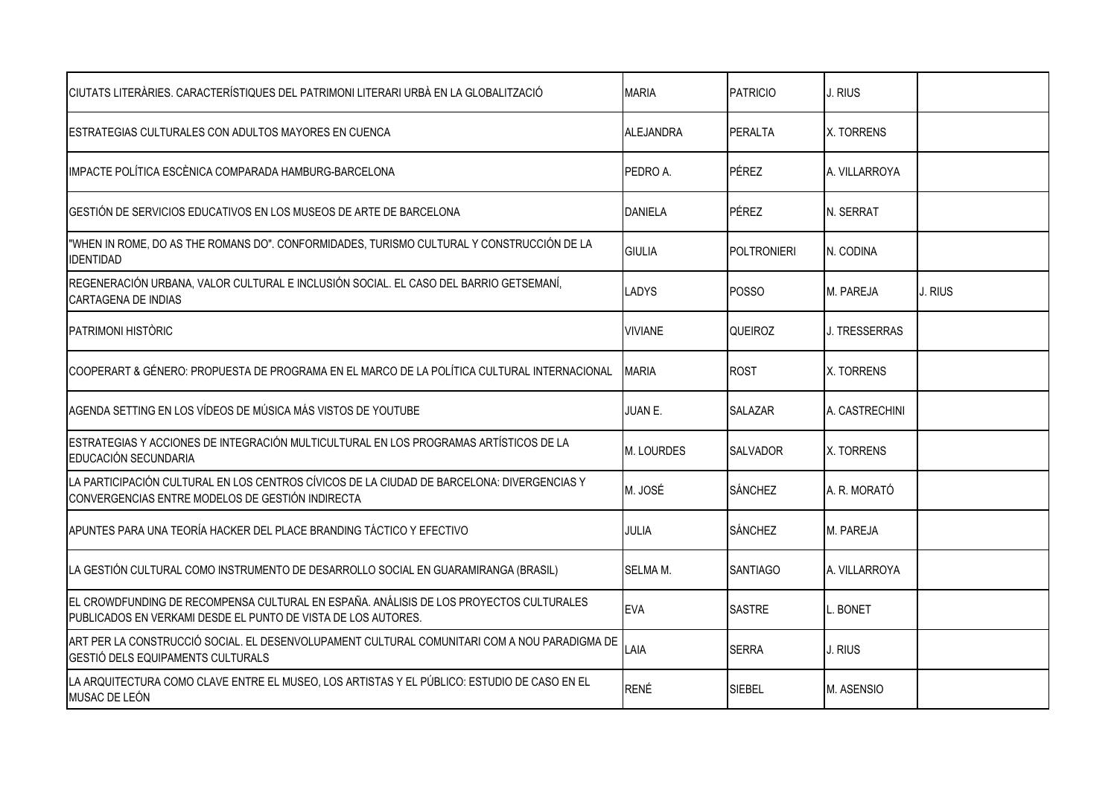| CIUTATS LITERÀRIES. CARACTERÍSTIQUES DEL PATRIMONI LITERARI URBÀ EN LA GLOBALITZACIÓ                                                                    | <b>MARIA</b>   | <b>PATRICIO</b>    | J. RIUS        |         |
|---------------------------------------------------------------------------------------------------------------------------------------------------------|----------------|--------------------|----------------|---------|
| IESTRATEGIAS CULTURALES CON ADULTOS MAYORES EN CUENCA                                                                                                   | ALEJANDRA      | PERALTA            | X. TORRENS     |         |
| IMPACTE POLÍTICA ESCÈNICA COMPARADA HAMBURG-BARCELONA                                                                                                   | PEDRO A.       | <b>PÉREZ</b>       | A. VILLARROYA  |         |
| GESTIÓN DE SERVICIOS EDUCATIVOS EN LOS MUSEOS DE ARTE DE BARCELONA                                                                                      | <b>DANIELA</b> | PÉREZ              | N. SERRAT      |         |
| "WHEN IN ROME, DO AS THE ROMANS DO". CONFORMIDADES, TURISMO CULTURAL Y CONSTRUCCIÓN DE LA<br><b>IDENTIDAD</b>                                           | GIULIA         | <b>POLTRONIERI</b> | N. CODINA      |         |
| REGENERACIÓN URBANA, VALOR CULTURAL E INCLUSIÓN SOCIAL. EL CASO DEL BARRIO GETSEMANÍ,<br>CARTAGENA DE INDIAS                                            | LADYS          | <b>POSSO</b>       | M. PAREJA      | J. RIUS |
| PATRIMONI HISTÒRIC                                                                                                                                      | <b>VIVIANE</b> | <b>QUEIROZ</b>     | J. TRESSERRAS  |         |
| COOPERART & GÉNERO: PROPUESTA DE PROGRAMA EN EL MARCO DE LA POLÍTICA CULTURAL INTERNACIONAL                                                             | <b>MARIA</b>   | <b>ROST</b>        | X. TORRENS     |         |
| AGENDA SETTING EN LOS VÍDEOS DE MÚSICA MÁS VISTOS DE YOUTUBE                                                                                            | JUAN E.        | <b>SALAZAR</b>     | A. CASTRECHINI |         |
| ESTRATEGIAS Y ACCIONES DE INTEGRACIÓN MULTICULTURAL EN LOS PROGRAMAS ARTÍSTICOS DE LA<br>EDUCACIÓN SECUNDARIA                                           | M. LOURDES     | <b>SALVADOR</b>    | X. TORRENS     |         |
| LA PARTICIPACIÓN CULTURAL EN LOS CENTROS CÍVICOS DE LA CIUDAD DE BARCELONA: DIVERGENCIAS Y<br>CONVERGENCIAS ENTRE MODELOS DE GESTIÓN INDIRECTA          | M. JOSÉ        | <b>SÁNCHEZ</b>     | A. R. MORATÓ   |         |
| APUNTES PARA UNA TEORÍA HACKER DEL PLACE BRANDING TÁCTICO Y EFECTIVO                                                                                    | JULIA          | <b>SÁNCHEZ</b>     | M. PAREJA      |         |
| LA GESTIÓN CULTURAL COMO INSTRUMENTO DE DESARROLLO SOCIAL EN GUARAMIRANGA (BRASIL)                                                                      | SELMA M.       | <b>SANTIAGO</b>    | A. VILLARROYA  |         |
| EL CROWDFUNDING DE RECOMPENSA CULTURAL EN ESPAÑA. ANÁLISIS DE LOS PROYECTOS CULTURALES<br>PUBLICADOS EN VERKAMI DESDE EL PUNTO DE VISTA DE LOS AUTORES. | <b>EVA</b>     | <b>SASTRE</b>      | . BONET        |         |
| ART PER LA CONSTRUCCIÓ SOCIAL. EL DESENVOLUPAMENT CULTURAL COMUNITARI COM A NOU PARADIGMA DE<br>GESTIÓ DELS EQUIPAMENTS CULTURALS                       | LAIA           | <b>SERRA</b>       | J. RIUS        |         |
| LA ARQUITECTURA COMO CLAVE ENTRE EL MUSEO, LOS ARTISTAS Y EL PÚBLICO: ESTUDIO DE CASO EN EL<br>MUSAC DE LEÓN                                            | <b>RENÉ</b>    | SIEBEL             | M. ASENSIO     |         |